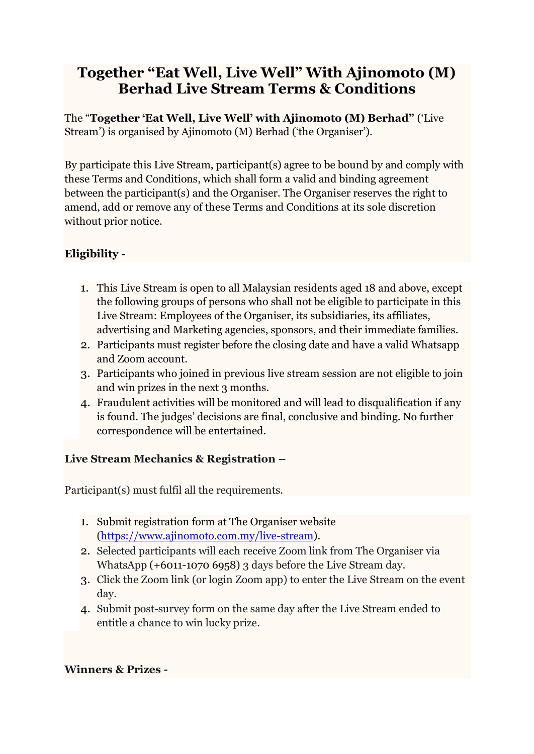# **Together "Eat Well, Live Well" With Ajinomoto (M) Berhad Live Stream Terms & Conditions**

The "**Together 'Eat Well, Live Well' with Ajinomoto (M) Berhad"** ('Live Stream') is organised by Ajinomoto (M) Berhad ('the Organiser').

By participate this Live Stream, participant(s) agree to be bound by and comply with these Terms and Conditions, which shall form a valid and binding agreement between the participant(s) and the Organiser. The Organiser reserves the right to amend, add or remove any of these Terms and Conditions at its sole discretion without prior notice.

## **Eligibility -**

- 1. This Live Stream is open to all Malaysian residents aged 18 and above, except the following groups of persons who shall not be eligible to participate in this Live Stream: Employees of the Organiser, its subsidiaries, its affiliates, advertising and Marketing agencies, sponsors, and their immediate families.
- 2. Participants must register before the closing date and have a valid Whatsapp and Zoom account.
- 3. Participants who joined in previous live stream session are not eligible to join and win prizes in the next 3 months.
- 4. Fraudulent activities will be monitored and will lead to disqualification if any is found. The judges' decisions are final, conclusive and binding. No further correspondence will be entertained.

### **Live Stream Mechanics & Registration –**

Participant(s) must fulfil all the requirements.

- 1. Submit registration form at The Organiser website [\(https://www.ajinomoto.com.my/live-stream\)](https://www.ajinomoto.com.my/live-stream).
- 2. Selected participants will each receive Zoom link from The Organiser via WhatsApp (+6011-1070 6958) 3 days before the Live Stream day.
- 3. Click the Zoom link (or login Zoom app) to enter the Live Stream on the event day.
- 4. Submit post-survey form on the same day after the Live Stream ended to entitle a chance to win lucky prize.

### **Winners & Prizes -**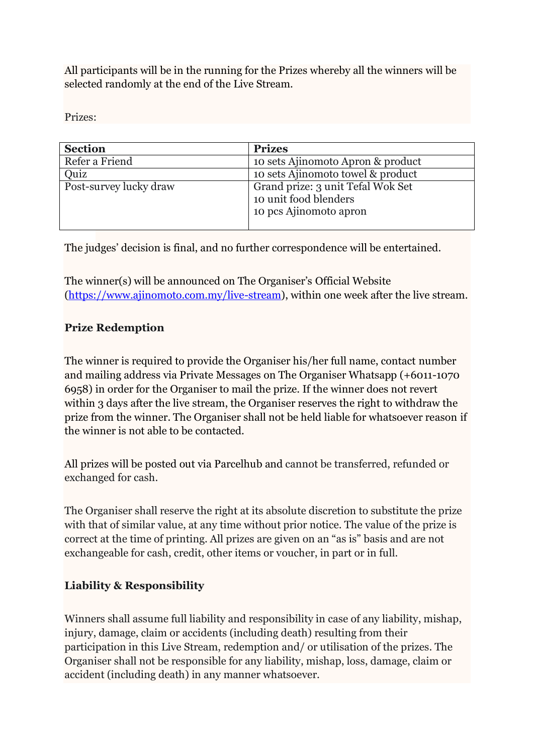All participants will be in the running for the Prizes whereby all the winners will be selected randomly at the end of the Live Stream.

Prizes:

| <b>Section</b>         | <b>Prizes</b>                                                                        |
|------------------------|--------------------------------------------------------------------------------------|
| Refer a Friend         | 10 sets Ajinomoto Apron & product                                                    |
| Quiz                   | 10 sets Ajinomoto towel & product                                                    |
| Post-survey lucky draw | Grand prize: 3 unit Tefal Wok Set<br>10 unit food blenders<br>10 pcs Ajinomoto apron |

The judges' decision is final, and no further correspondence will be entertained.

The winner(s) will be announced on The Organiser's Official Website [\(https://www.ajinomoto.com.my/live-stream\)](https://www.ajinomoto.com.my/live-stream), within one week after the live stream.

### **Prize Redemption**

The winner is required to provide the Organiser his/her full name, contact number and mailing address via Private Messages on The Organiser Whatsapp (+6011-1070 6958) in order for the Organiser to mail the prize. If the winner does not revert within 3 days after the live stream, the Organiser reserves the right to withdraw the prize from the winner. The Organiser shall not be held liable for whatsoever reason if the winner is not able to be contacted.

All prizes will be posted out via Parcelhub and cannot be transferred, refunded or exchanged for cash.

The Organiser shall reserve the right at its absolute discretion to substitute the prize with that of similar value, at any time without prior notice. The value of the prize is correct at the time of printing. All prizes are given on an "as is" basis and are not exchangeable for cash, credit, other items or voucher, in part or in full.

### **Liability & Responsibility**

Winners shall assume full liability and responsibility in case of any liability, mishap, injury, damage, claim or accidents (including death) resulting from their participation in this Live Stream, redemption and/ or utilisation of the prizes. The Organiser shall not be responsible for any liability, mishap, loss, damage, claim or accident (including death) in any manner whatsoever.